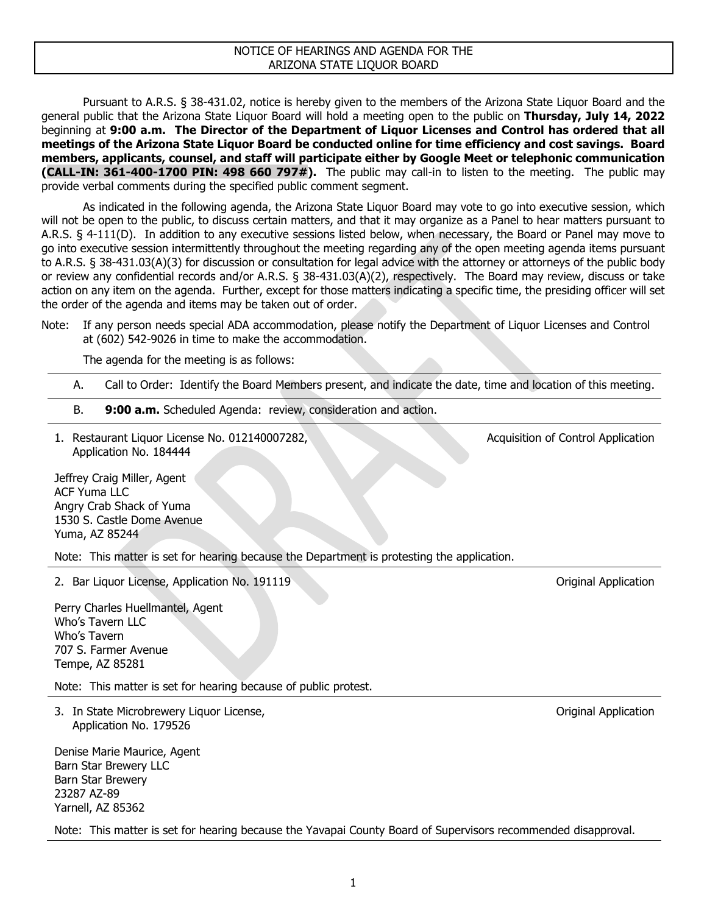## NOTICE OF HEARINGS AND AGENDA FOR THE ARIZONA STATE LIQUOR BOARD

Pursuant to A.R.S. § 38-431.02, notice is hereby given to the members of the Arizona State Liquor Board and the general public that the Arizona State Liquor Board will hold a meeting open to the public on **Thursday, July 14, 2022**  beginning at **9:00 a.m. The Director of the Department of Liquor Licenses and Control has ordered that all meetings of the Arizona State Liquor Board be conducted online for time efficiency and cost savings. Board members, applicants, counsel, and staff will participate either by Google Meet or telephonic communication (CALL-IN: 361-400-1700 PIN: 498 660 797#).** The public may call-in to listen to the meeting. The public may provide verbal comments during the specified public comment segment.

As indicated in the following agenda, the Arizona State Liquor Board may vote to go into executive session, which will not be open to the public, to discuss certain matters, and that it may organize as a Panel to hear matters pursuant to A.R.S. § 4-111(D). In addition to any executive sessions listed below, when necessary, the Board or Panel may move to go into executive session intermittently throughout the meeting regarding any of the open meeting agenda items pursuant to A.R.S. § 38-431.03(A)(3) for discussion or consultation for legal advice with the attorney or attorneys of the public body or review any confidential records and/or A.R.S. § 38-431.03(A)(2), respectively. The Board may review, discuss or take action on any item on the agenda. Further, except for those matters indicating a specific time, the presiding officer will set the order of the agenda and items may be taken out of order.

Note: If any person needs special ADA accommodation, please notify the Department of Liquor Licenses and Control at (602) 542-9026 in time to make the accommodation.

The agenda for the meeting is as follows:

- A. Call to Order: Identify the Board Members present, and indicate the date, time and location of this meeting.
- B. **9:00 a.m.** Scheduled Agenda: review, consideration and action.
- 1. Restaurant Liquor License No. 012140007282, Application No. 184444

Jeffrey Craig Miller, Agent ACF Yuma LLC Angry Crab Shack of Yuma 1530 S. Castle Dome Avenue Yuma, AZ 85244

Note: This matter is set for hearing because the Department is protesting the application.

2. Bar Liquor License, Application No. 191119 **Canadian Accord Control Control Control** Control Control Application

Perry Charles Huellmantel, Agent Who's Tavern LLC Who's Tavern 707 S. Farmer Avenue Tempe, AZ 85281

Note: This matter is set for hearing because of public protest.

3. In State Microbrewery Liquor License, Application No. 179526

Denise Marie Maurice, Agent Barn Star Brewery LLC Barn Star Brewery 23287 AZ-89 Yarnell, AZ 85362

Note: This matter is set for hearing because the Yavapai County Board of Supervisors recommended disapproval.

Original Application

Acquisition of Control Application